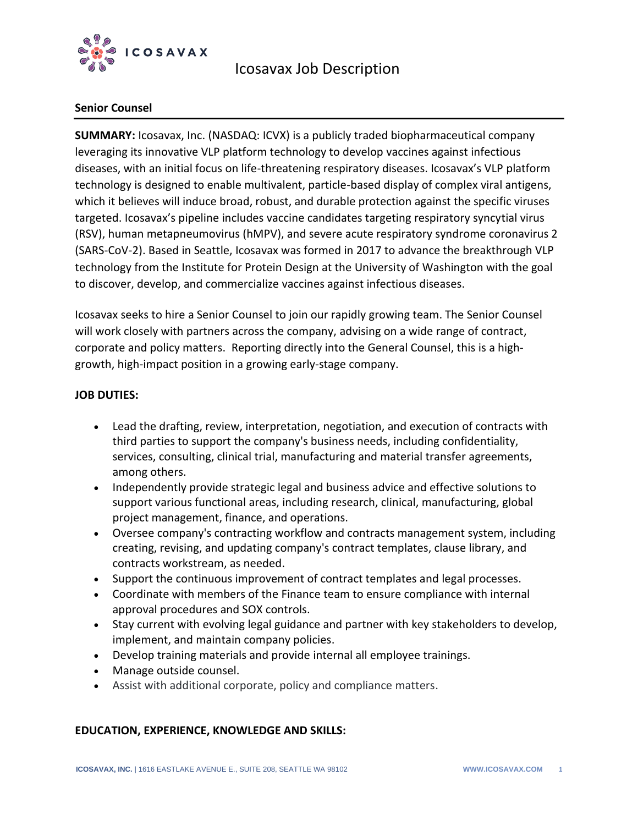

## **Senior Counsel**

**SUMMARY:** Icosavax, Inc. (NASDAQ: ICVX) is a publicly traded biopharmaceutical company leveraging its innovative VLP platform technology to develop vaccines against infectious diseases, with an initial focus on life-threatening respiratory diseases. Icosavax's VLP platform technology is designed to enable multivalent, particle-based display of complex viral antigens, which it believes will induce broad, robust, and durable protection against the specific viruses targeted. Icosavax's pipeline includes vaccine candidates targeting respiratory syncytial virus (RSV), human metapneumovirus (hMPV), and severe acute respiratory syndrome coronavirus 2 (SARS-CoV-2). Based in Seattle, Icosavax was formed in 2017 to advance the breakthrough VLP technology from the Institute for Protein Design at the University of Washington with the goal to discover, develop, and commercialize vaccines against infectious diseases.

Icosavax seeks to hire a Senior Counsel to join our rapidly growing team. The Senior Counsel will work closely with partners across the company, advising on a wide range of contract, corporate and policy matters. Reporting directly into the General Counsel, this is a highgrowth, high-impact position in a growing early-stage company.

## **JOB DUTIES:**

- Lead the drafting, review, interpretation, negotiation, and execution of contracts with third parties to support the company's business needs, including confidentiality, services, consulting, clinical trial, manufacturing and material transfer agreements, among others.
- Independently provide strategic legal and business advice and effective solutions to support various functional areas, including research, clinical, manufacturing, global project management, finance, and operations.
- Oversee company's contracting workflow and contracts management system, including creating, revising, and updating company's contract templates, clause library, and contracts workstream, as needed.
- Support the continuous improvement of contract templates and legal processes.
- Coordinate with members of the Finance team to ensure compliance with internal approval procedures and SOX controls.
- Stay current with evolving legal guidance and partner with key stakeholders to develop, implement, and maintain company policies.
- Develop training materials and provide internal all employee trainings.
- Manage outside counsel.
- Assist with additional corporate, policy and compliance matters.

### **EDUCATION, EXPERIENCE, KNOWLEDGE AND SKILLS:**